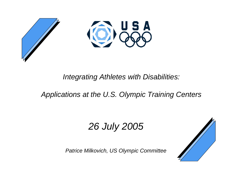



#### *Integrating Athletes with Disabilities:*

#### *Applications at the U.S. Olympic Training Centers*

# *26 July 2005*

*Patrice Milkovich, US Olympic Committee*

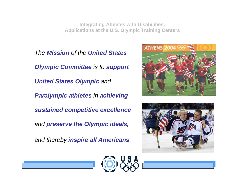*The Mission of the United States Olympic Committee is to support United States Olympic and Paralympic athletes in achieving sustained competitive excellence and preserve the Olympic ideals,* 

*and thereby inspire all Americans.*





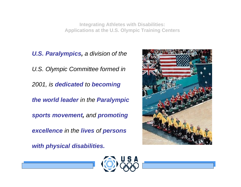*U.S. Paralympics, a division of the U.S. Olympic Committee formed in 2001, is dedicated to becoming the world leader in the Paralympic sports movement, and promoting excellence in the lives of persons* 

*with physical disabilities.*



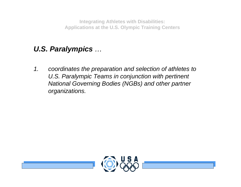#### *U.S. Paralympics …*

*1. coordinates the preparation and selection of athletes to U.S. Paralympic Teams in conjunction with pertinent National Governing Bodies (NGBs) and other partner organizations.* 

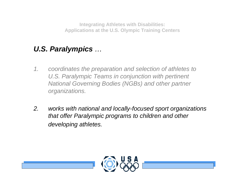#### *U.S. Paralympics …*

- *1. coordinates the preparation and selection of athletes to U.S. Paralympic Teams in conjunction with pertinent National Governing Bodies (NGBs) and other partner organizations.*
- *2. works with national and locally-focused sport organizations that offer Paralympic programs to children and other developing athletes.*

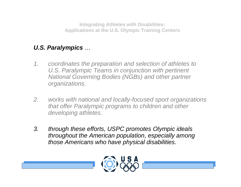#### *U.S. Paralympics …*

- *1. coordinates the preparation and selection of athletes to U.S. Paralympic Teams in conjunction with pertinent National Governing Bodies (NGBs) and other partner organizations.*
- *2. works with national and locally-focused sport organizations that offer Paralympic programs to children and other developing athletes.*
- *3. through these efforts, USPC promotes Olympic ideals throughout the American population, especially among those Americans who have physical disabilities.*

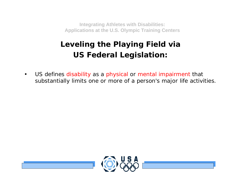#### *Leveling the Playing Field via US Federal Legislation:*

• US defines disability as a physical or mental impairment that substantially limits one or more of a person's major life activities.

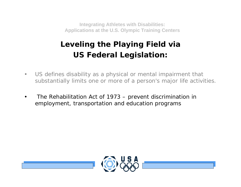#### *Leveling the Playing Field via US Federal Legislation:*

- $\bullet$  US defines disability as a physical or mental impairment that substantially limits one or more of a person's major life activities.
- • The Rehabilitation Act of 1973 – prevent discrimination in employment, transportation and education programs

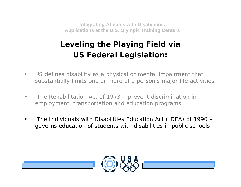#### *Leveling the Playing Field via US Federal Legislation:*

- $\bullet$  US defines disability as a physical or mental impairment that substantially limits one or more of a person's major life activities.
- • The Rehabilitation Act of 1973 – prevent discrimination in employment, transportation and education programs
- • The Individuals with Disabilities Education Act (IDEA) of 1990 – governs education of students with disabilities in public schools

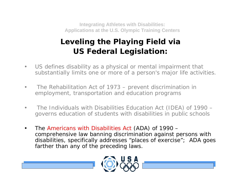#### *Leveling the Playing Field via US Federal Legislation:*

- $\bullet$  US defines disability as a physical or mental impairment that substantially limits one or more of a person's major life activities.
- • The Rehabilitation Act of 1973 – prevent discrimination in employment, transportation and education programs
- • The Individuals with Disabilities Education Act (IDEA) of 1990 – governs education of students with disabilities in public schools
- • The Americans with Disabilities Act (ADA) of 1990 – comprehensive law banning discrimination against persons with disabilities, specifically addresses "places of exercise"; ADA goes farther than any of the preceding laws.

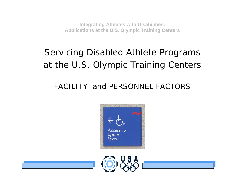# *Servicing Disabled Athlete Programs at the U.S. Olympic Training Centers*

#### FACILITY and PERSONNEL FACTORS



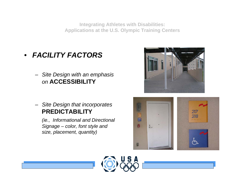- *• FACILITY FACTORS*
	- *– Site Design with an emphasis on* **ACCESSIBILITY**
	- *– Site Design that incorporates*  **PREDICTABILITY**

*(ie., Informational and Directional Signage – color, font style and size, placement, quantity)*





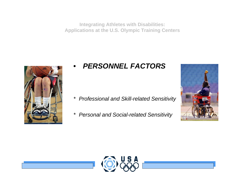

#### *•PERSONNEL FACTORS*

- *\* Professional and Skill-related Sensitivity*
- *\* Personal and Social-related Sensitivity*



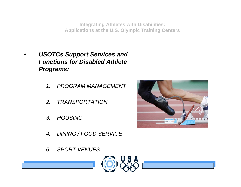- *• USOTCs Support Services and Functions for Disabled Athlete Programs:*
	- *1. PROGRAM MANAGEMENT*
	- *2. TRANSPORTATION*
	- *3. HOUSING*
	- *4. DINING / FOOD SERVICE*
	- *5. SPORT VENUES*



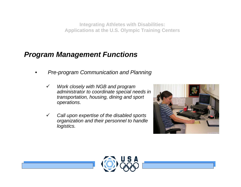- *• Pre-program Communication and Planning* 
	- $\checkmark$  *Work closely with NGB and program administrator to coordinate special needs in transportation, housing, dining and sport operations.*
	- $\checkmark$  *Call upon expertise of the disabled sports organization and their personnel to handle logistics.*



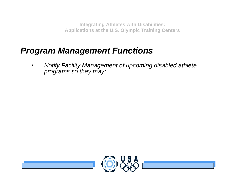# *Program Management Functions*

*• Notify Facility Management of upcoming disabled athlete programs so they may:*

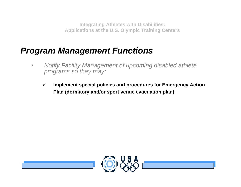- *• Notify Facility Management of upcoming disabled athlete programs so they may:*
	- $\checkmark$  **Implement special policies and procedures for Emergency Action Plan (dormitory and/or sport venue evacuation plan)**

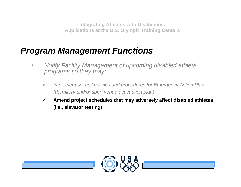- *• Notify Facility Management of upcoming disabled athlete programs so they may:*
	- $\checkmark$  *Implement special policies and procedures for Emergency Action Plan (dormitory and/or sport venue evacuation plan)*
	- $\checkmark$  **Amend project schedules that may adversely affect disabled athletes (i.e., elevator testing)**

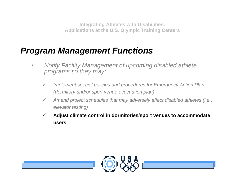- *• Notify Facility Management of upcoming disabled athlete programs so they may:*
	- $\checkmark$  *Implement special policies and procedures for Emergency Action Plan (dormitory and/or sport venue evacuation plan)*
	- $\checkmark$  *Amend project schedules that may adversely affect disabled athletes (i.e., elevator testing)*
	- $\checkmark$  **Adjust climate control in dormitories/sport venues to accommodate users**

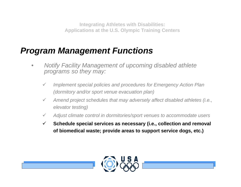- *• Notify Facility Management of upcoming disabled athlete programs so they may:*
	- $\checkmark$  *Implement special policies and procedures for Emergency Action Plan (dormitory and/or sport venue evacuation plan)*
	- $\checkmark$  *Amend project schedules that may adversely affect disabled athletes (i.e., elevator testing)*
	- $\checkmark$ *Adjust climate control in dormitories/sport venues to accommodate users*
	- $\checkmark$  **Schedule special services as necessary (i.e., collection and removal of biomedical waste; provide areas to support service dogs, etc.)**

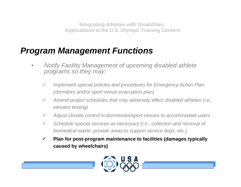- *• Notify Facility Management of upcoming disabled athlete programs so they may:*
	- $\checkmark$  *Implement special policies and procedures for Emergency Action Plan (dormitory and/or sport venue evacuation plan)*
	- $\checkmark$  *Amend project schedules that may adversely affect disabled athletes (i.e., elevator testing)*
	- $\checkmark$ *Adjust climate control in dormitories/sport venues to accommodate users*
	- $\checkmark$  *Schedule special services as necessary (i.e., collection and removal of biomedical waste; provide areas to support service dogs, etc.)*
	- $\checkmark$  **Plan for post-program maintenance to facilities (damages typically caused by wheelchairs)**

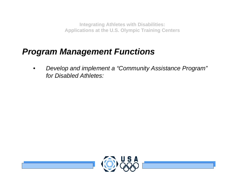# *Program Management Functions*

*• Develop and implement a "Community Assistance Program" for Disabled Athletes:*

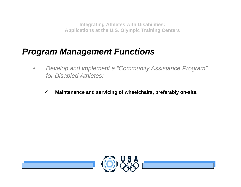- *• Develop and implement a "Community Assistance Program" for Disabled Athletes:*
	- $\checkmark$ **Maintenance and servicing of wheelchairs, preferably on-site.**

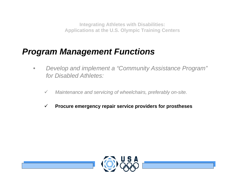- *• Develop and implement a "Community Assistance Program" for Disabled Athletes:*
	- $\checkmark$ *Maintenance and servicing of wheelchairs, preferably on-site.*
	- $\checkmark$ **Procure emergency repair service providers for prostheses**

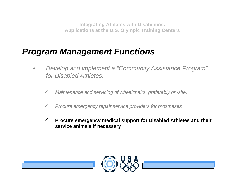- *• Develop and implement a "Community Assistance Program" for Disabled Athletes:*
	- $\checkmark$ *Maintenance and servicing of wheelchairs, preferably on-site.*
	- $\checkmark$ *Procure emergency repair service providers for prostheses*
	- $\checkmark$  **Procure emergency medical support for Disabled Athletes and their service animals if necessary**

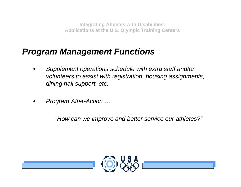# *Program Management Functions*

- *• Supplement operations schedule with extra staff and/or volunteers to assist with registration, housing assignments, dining hall support, etc.*
- *• Program After-Action ….*

*"How can we improve and better service our athletes?"*

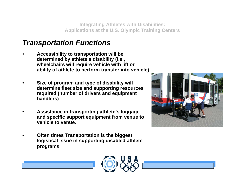#### *Transportation Functions*

- *•* **Accessibility to transportation will be determined by athlete's disability (I.e., wheelchairs will require vehicle with lift or ability of athlete to perform transfer into vehicle)**
- *•* **Size of program and type of disability will determine fleet size and supporting resources required (number of drivers and equipment handlers)**
- *•* **Assistance in transporting athlete's luggage and specific support equipment from venue to vehicle to venue.**
- *•* **Often times Transportation is the biggest logistical issue in supporting disabled athlete programs.**



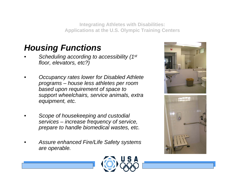# *Housing Functions*

- *• Scheduling according to accessibility (1st floor, elevators, etc?)*
- *• Occupancy rates lower for Disabled Athlete programs – house less athletes per room based upon requirement of space to support wheelchairs, service animals, extra equipment, etc.*
- *• Scope of housekeeping and custodial services – increase frequency of service, prepare to handle biomedical wastes, etc.*
- *• Assure enhanced Fire/Life Safety systems are operable.*





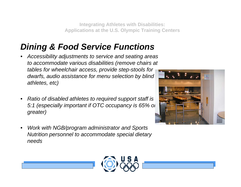# *Dining & Food Service Functions*

- *• Accessibility adjustments to service and seating areas to accommodate various disabilities (remove chairs at tables for wheelchair access, provide step-stools for dwarfs, audio assistance for menu selection by blind athletes, etc)*
- *• Ratio of disabled athletes to required support staff is 5:1 (especially important if OTC occupancy is 65% or greater)*
- *• Work with NGB/program administrator and Sports Nutrition personnel to accommodate special dietary needs*



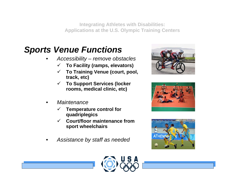# *Sports Venue Functions*

- *• Accessibility – remove obstacles*
	- $\checkmark$ **To Facility (ramps, elevators)**
	- $\checkmark$  **To Training Venue (court, pool, track, etc)**
	- $\checkmark$  **To Support Services (locker rooms, medical clinic, etc)**
- *• Maintenance*
	- $\checkmark$  **Temperature control for quadriplegics**
	- 9 **Court/floor maintenance from sport wheelchairs**
- *• Assistance by staff as needed*